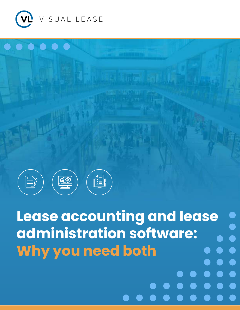



**Lease accounting and lease administration software: Why you need both**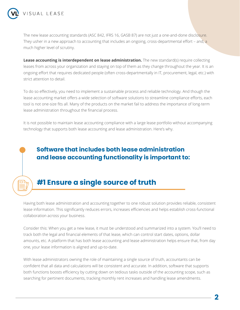

oΓ

The new lease accounting standards (ASC 842, IFRS 16, GASB 87) are not just a one-and-done disclosure. They usher in a new approach to accounting that includes an ongoing, cross-departmental effort – and, a much higher level of scrutiny.

**Lease accounting is interdependent on lease administration.** The new standard(s) require collecting leases from across your organization and staying on top of them as they change throughout the year. It is an ongoing effort that requires dedicated people (often cross-departmentally in IT, procurement, legal, etc.) with strict attention to detail.

To do so effectively, you need to implement a sustainable process and reliable technology. And though the lease accounting market offers a wide selection of software solutions to streamline compliance efforts, each tool is not one-size fits all. Many of the products on the market fail to address the importance of long-term lease administration throughout the financial process.

It is not possible to maintain lease accounting compliance with a large lease portfolio without accompanying technology that supports both lease accounting and lease administration. Here's why.

### **Software that includes both lease administration and lease accounting functionality is important to:**

## **#1 Ensure a single source of truth**

Having both lease administration and accounting together to one robust solution provides reliable, consistent lease information. This significantly reduces errors, increases efficiencies and helps establish cross-functional collaboration across your business.

Consider this: When you get a new lease, it must be understood and summarized into a system. You'll need to track both the legal and financial elements of that lease, which can control start dates, options, dollar amounts, etc. A platform that has both lease accounting and lease administration helps ensure that, from day one, your lease information is aligned and up-to-date.

With lease administrators owning the role of maintaining a single source of truth, accountants can be confident that all data and calculations will be consistent and accurate. In addition, software that supports both functions boosts efficiency by cutting down on tedious tasks outside of the accounting scope, such as searching for pertinent documents, tracking monthly rent increases and handling lease amendments.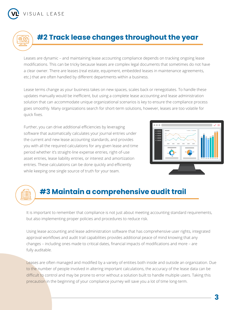

# **#2 Track lease changes throughout the year**

Leases are dynamic – and maintaining lease accounting compliance depends on tracking ongoing lease modifications. This can be tricky because leases are complex legal documents that sometimes do not have a clear owner. There are leases (real estate, equipment, embedded leases in maintenance agreements, etc.) that are often handled by different departments within a business.

Lease terms change as your business takes on new spaces, scales back or renegotiates. To handle these updates manually would be inefficient, but using a complete lease accounting and lease administration solution that can accommodate unique organizational scenarios is key to ensure the compliance process goes smoothly. Many organizations search for short-term solutions, however, leases are too volatile for quick fixes.

Further, you can drive additional efficiencies by leveraging software that automatically calculates your journal entries under the current and new lease accounting standards, and provides you with all the required calculations for any given lease and time period whether it's straight-line expense entries, right-of-use asset entries, lease liability entries, or interest and amortization entries. These calculations can be done quickly and efficiently while keeping one single source of truth for your team.



# **#3 Maintain a comprehensive audit trail**

It is important to remember that compliance is not just about meeting accounting standard requirements, but also implementing proper policies and procedures to reduce risk.

Using lease accounting and lease administration software that has comprehensive user rights, integrated approval workflows and audit trail capabilities provides additional peace of mind knowing that any changes – including ones made to critical dates, financial impacts of modifications and more – are fully auditable.

Leases are often managed and modified by a variety of entities both inside and outside an organization. Due to the number of people involved in altering important calculations, the accuracy of the lease data can be difficult to control and may be prone to error without a solution built to handle multiple users. Taking this precaution in the beginning of your compliance journey will save you a lot of time long-term.